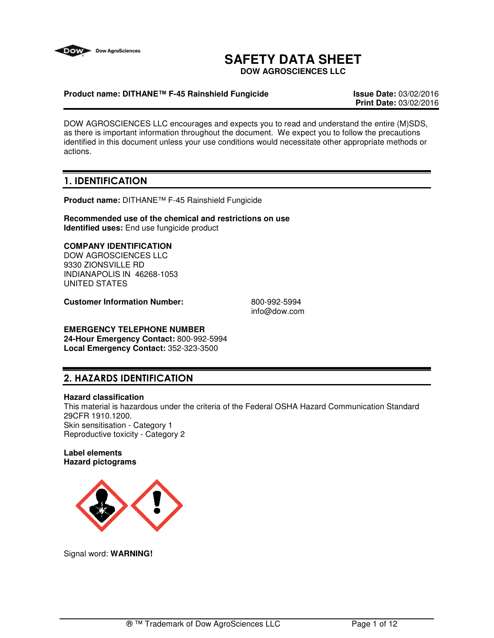

# **SAFETY DATA SHEET**

**DOW AGROSCIENCES LLC**

# **Product name: DITHANE™ F-45 Rainshield Fungicide Issue Date:** 03/02/2016

**Print Date:** 03/02/2016

DOW AGROSCIENCES LLC encourages and expects you to read and understand the entire (M)SDS, as there is important information throughout the document. We expect you to follow the precautions identified in this document unless your use conditions would necessitate other appropriate methods or actions.

# **1. IDENTIFICATION**

**Product name:** DITHANE™ F-45 Rainshield Fungicide

**Recommended use of the chemical and restrictions on use Identified uses:** End use fungicide product

# **COMPANY IDENTIFICATION**

DOW AGROSCIENCES LLC 9330 ZIONSVILLE RD INDIANAPOLIS IN 46268-1053 UNITED STATES

**Customer Information Number:** 800-992-5994

info@dow.com

#### **EMERGENCY TELEPHONE NUMBER 24-Hour Emergency Contact:** 800-992-5994 **Local Emergency Contact:** 352-323-3500

# **2. HAZARDS IDENTIFICATION**

#### **Hazard classification**

This material is hazardous under the criteria of the Federal OSHA Hazard Communication Standard 29CFR 1910.1200. Skin sensitisation - Category 1 Reproductive toxicity - Category 2

#### **Label elements Hazard pictograms**



Signal word: **WARNING!**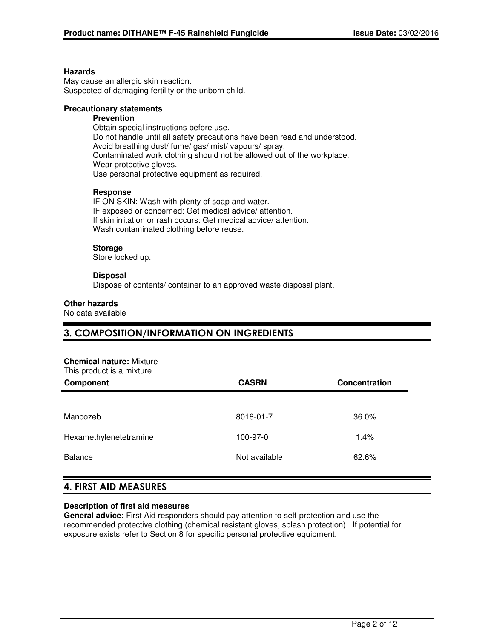#### **Hazards**

May cause an allergic skin reaction. Suspected of damaging fertility or the unborn child.

# **Precautionary statements**

# **Prevention**

Obtain special instructions before use. Do not handle until all safety precautions have been read and understood. Avoid breathing dust/ fume/ gas/ mist/ vapours/ spray. Contaminated work clothing should not be allowed out of the workplace. Wear protective gloves. Use personal protective equipment as required.

#### **Response**

IF ON SKIN: Wash with plenty of soap and water. IF exposed or concerned: Get medical advice/ attention. If skin irritation or rash occurs: Get medical advice/ attention. Wash contaminated clothing before reuse.

#### **Storage**

Store locked up.

#### **Disposal**

Dispose of contents/ container to an approved waste disposal plant.

#### **Other hazards**

No data available

# **3. COMPOSITION/INFORMATION ON INGREDIENTS**

#### **Chemical nature:** Mixture

This product is a mixture.

| THIS PROGRAM IS A HILATURE.<br>Component | <b>CASRN</b>  | Concentration |  |
|------------------------------------------|---------------|---------------|--|
|                                          |               |               |  |
| Mancozeb                                 | 8018-01-7     | 36.0%         |  |
| Hexamethylenetetramine                   | 100-97-0      | 1.4%          |  |
| <b>Balance</b>                           | Not available | 62.6%         |  |
|                                          |               |               |  |

# **4. FIRST AID MEASURES**

#### **Description of first aid measures**

**General advice:** First Aid responders should pay attention to self-protection and use the recommended protective clothing (chemical resistant gloves, splash protection). If potential for exposure exists refer to Section 8 for specific personal protective equipment.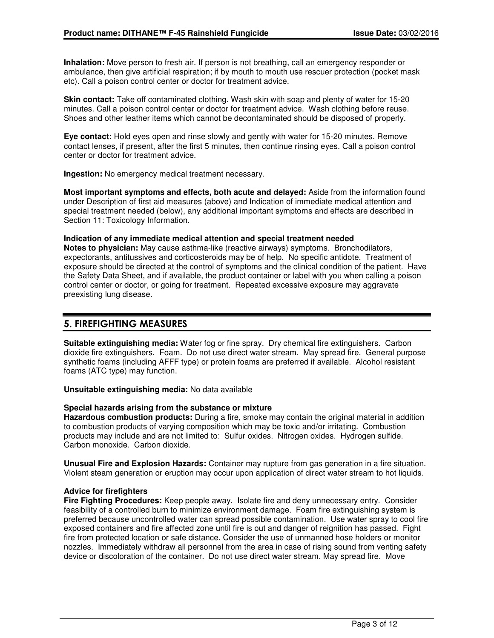**Inhalation:** Move person to fresh air. If person is not breathing, call an emergency responder or ambulance, then give artificial respiration; if by mouth to mouth use rescuer protection (pocket mask etc). Call a poison control center or doctor for treatment advice.

**Skin contact:** Take off contaminated clothing. Wash skin with soap and plenty of water for 15-20 minutes. Call a poison control center or doctor for treatment advice. Wash clothing before reuse. Shoes and other leather items which cannot be decontaminated should be disposed of properly.

**Eye contact:** Hold eyes open and rinse slowly and gently with water for 15-20 minutes. Remove contact lenses, if present, after the first 5 minutes, then continue rinsing eyes. Call a poison control center or doctor for treatment advice.

**Ingestion:** No emergency medical treatment necessary.

**Most important symptoms and effects, both acute and delayed:** Aside from the information found under Description of first aid measures (above) and Indication of immediate medical attention and special treatment needed (below), any additional important symptoms and effects are described in Section 11: Toxicology Information.

## **Indication of any immediate medical attention and special treatment needed**

**Notes to physician:** May cause asthma-like (reactive airways) symptoms. Bronchodilators, expectorants, antitussives and corticosteroids may be of help. No specific antidote. Treatment of exposure should be directed at the control of symptoms and the clinical condition of the patient. Have the Safety Data Sheet, and if available, the product container or label with you when calling a poison control center or doctor, or going for treatment. Repeated excessive exposure may aggravate preexisting lung disease.

# **5. FIREFIGHTING MEASURES**

**Suitable extinguishing media:** Water fog or fine spray. Dry chemical fire extinguishers. Carbon dioxide fire extinguishers. Foam. Do not use direct water stream. May spread fire. General purpose synthetic foams (including AFFF type) or protein foams are preferred if available. Alcohol resistant foams (ATC type) may function.

**Unsuitable extinguishing media:** No data available

#### **Special hazards arising from the substance or mixture**

**Hazardous combustion products:** During a fire, smoke may contain the original material in addition to combustion products of varying composition which may be toxic and/or irritating. Combustion products may include and are not limited to: Sulfur oxides. Nitrogen oxides. Hydrogen sulfide. Carbon monoxide. Carbon dioxide.

**Unusual Fire and Explosion Hazards:** Container may rupture from gas generation in a fire situation. Violent steam generation or eruption may occur upon application of direct water stream to hot liquids.

# **Advice for firefighters**

**Fire Fighting Procedures:** Keep people away. Isolate fire and deny unnecessary entry. Consider feasibility of a controlled burn to minimize environment damage. Foam fire extinguishing system is preferred because uncontrolled water can spread possible contamination. Use water spray to cool fire exposed containers and fire affected zone until fire is out and danger of reignition has passed. Fight fire from protected location or safe distance. Consider the use of unmanned hose holders or monitor nozzles. Immediately withdraw all personnel from the area in case of rising sound from venting safety device or discoloration of the container. Do not use direct water stream. May spread fire. Move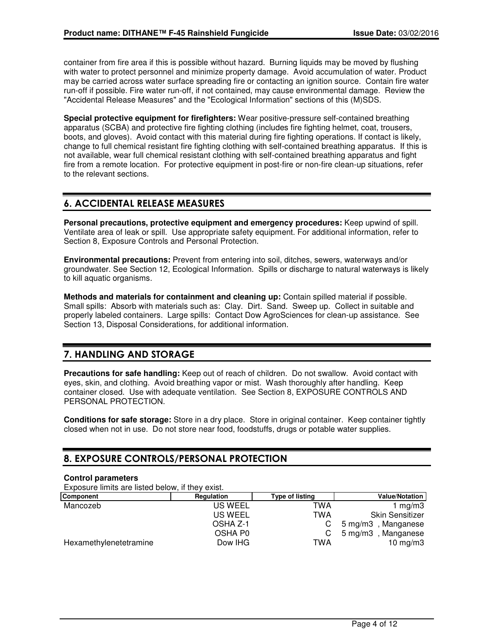container from fire area if this is possible without hazard. Burning liquids may be moved by flushing with water to protect personnel and minimize property damage. Avoid accumulation of water. Product may be carried across water surface spreading fire or contacting an ignition source. Contain fire water run-off if possible. Fire water run-off, if not contained, may cause environmental damage. Review the "Accidental Release Measures" and the "Ecological Information" sections of this (M)SDS.

**Special protective equipment for firefighters:** Wear positive-pressure self-contained breathing apparatus (SCBA) and protective fire fighting clothing (includes fire fighting helmet, coat, trousers, boots, and gloves). Avoid contact with this material during fire fighting operations. If contact is likely, change to full chemical resistant fire fighting clothing with self-contained breathing apparatus. If this is not available, wear full chemical resistant clothing with self-contained breathing apparatus and fight fire from a remote location. For protective equipment in post-fire or non-fire clean-up situations, refer to the relevant sections.

# **6. ACCIDENTAL RELEASE MEASURES**

**Personal precautions, protective equipment and emergency procedures:** Keep upwind of spill. Ventilate area of leak or spill. Use appropriate safety equipment. For additional information, refer to Section 8, Exposure Controls and Personal Protection.

**Environmental precautions:** Prevent from entering into soil, ditches, sewers, waterways and/or groundwater. See Section 12, Ecological Information. Spills or discharge to natural waterways is likely to kill aquatic organisms.

**Methods and materials for containment and cleaning up:** Contain spilled material if possible. Small spills: Absorb with materials such as: Clay. Dirt. Sand. Sweep up. Collect in suitable and properly labeled containers. Large spills: Contact Dow AgroSciences for clean-up assistance. See Section 13, Disposal Considerations, for additional information.

# **7. HANDLING AND STORAGE**

**Precautions for safe handling:** Keep out of reach of children. Do not swallow. Avoid contact with eyes, skin, and clothing. Avoid breathing vapor or mist. Wash thoroughly after handling. Keep container closed. Use with adequate ventilation. See Section 8, EXPOSURE CONTROLS AND PERSONAL PROTECTION.

**Conditions for safe storage:** Store in a dry place. Store in original container. Keep container tightly closed when not in use. Do not store near food, foodstuffs, drugs or potable water supplies.

# **8. EXPOSURE CONTROLS/PERSONAL PROTECTION**

#### **Control parameters**

Exposure limits are listed below, if they exist.

| EXPOUND INTINO QTO INCLUDEDUCTION INTO Y OXIDE. |                 |                                    |
|-------------------------------------------------|-----------------|------------------------------------|
| Regulation                                      | Type of listing | <b>Value/Notation</b>              |
| <b>US WEEL</b>                                  | TWA             | mg/m3                              |
| US WEEL                                         | TWA             | <b>Skin Sensitizer</b>             |
| OSHA Z-1                                        |                 | 5 mg/m3, Manganese                 |
| OSHA P0                                         |                 | , Manganese<br>$5 \,\mathrm{mg/m}$ |
| Dow IHG                                         | TWA             | 10 mg/m $3$                        |
|                                                 |                 |                                    |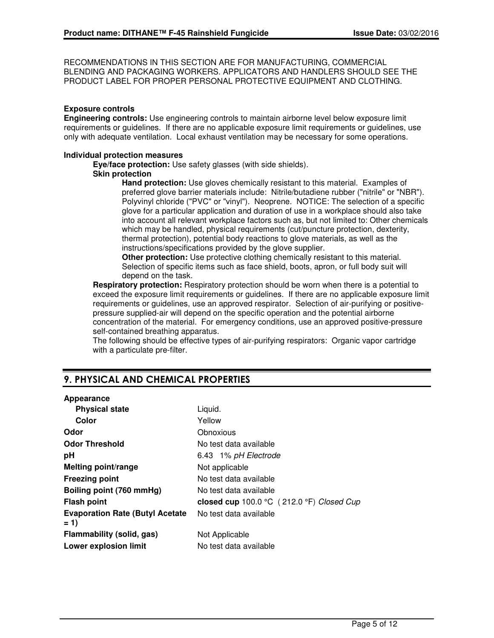RECOMMENDATIONS IN THIS SECTION ARE FOR MANUFACTURING, COMMERCIAL BLENDING AND PACKAGING WORKERS. APPLICATORS AND HANDLERS SHOULD SEE THE PRODUCT LABEL FOR PROPER PERSONAL PROTECTIVE EQUIPMENT AND CLOTHING.

# **Exposure controls**

**Engineering controls:** Use engineering controls to maintain airborne level below exposure limit requirements or guidelines. If there are no applicable exposure limit requirements or guidelines, use only with adequate ventilation. Local exhaust ventilation may be necessary for some operations.

#### **Individual protection measures**

**Eye/face protection:** Use safety glasses (with side shields).

## **Skin protection**

**Hand protection:** Use gloves chemically resistant to this material. Examples of preferred glove barrier materials include: Nitrile/butadiene rubber ("nitrile" or "NBR"). Polyvinyl chloride ("PVC" or "vinyl"). Neoprene. NOTICE: The selection of a specific glove for a particular application and duration of use in a workplace should also take into account all relevant workplace factors such as, but not limited to: Other chemicals which may be handled, physical requirements (cut/puncture protection, dexterity, thermal protection), potential body reactions to glove materials, as well as the instructions/specifications provided by the glove supplier.

**Other protection:** Use protective clothing chemically resistant to this material. Selection of specific items such as face shield, boots, apron, or full body suit will depend on the task.

**Respiratory protection:** Respiratory protection should be worn when there is a potential to exceed the exposure limit requirements or guidelines. If there are no applicable exposure limit requirements or guidelines, use an approved respirator. Selection of air-purifying or positivepressure supplied-air will depend on the specific operation and the potential airborne concentration of the material. For emergency conditions, use an approved positive-pressure self-contained breathing apparatus.

The following should be effective types of air-purifying respirators: Organic vapor cartridge with a particulate pre-filter.

# **9. PHYSICAL AND CHEMICAL PROPERTIES**

#### **Appearance**

| <b>Physical state</b>                            | Liquid.                                   |
|--------------------------------------------------|-------------------------------------------|
| Color                                            | Yellow                                    |
| Odor                                             | Obnoxious                                 |
| <b>Odor Threshold</b>                            | No test data available                    |
| рH                                               | 6.43 1% pH Electrode                      |
| <b>Melting point/range</b>                       | Not applicable                            |
| <b>Freezing point</b>                            | No test data available                    |
| Boiling point (760 mmHg)                         | No test data available                    |
| <b>Flash point</b>                               | closed cup 100.0 °C (212.0 °F) Closed Cup |
| <b>Evaporation Rate (Butyl Acetate)</b><br>$= 1$ | No test data available                    |
| Flammability (solid, gas)                        | Not Applicable                            |
| <b>Lower explosion limit</b>                     | No test data available                    |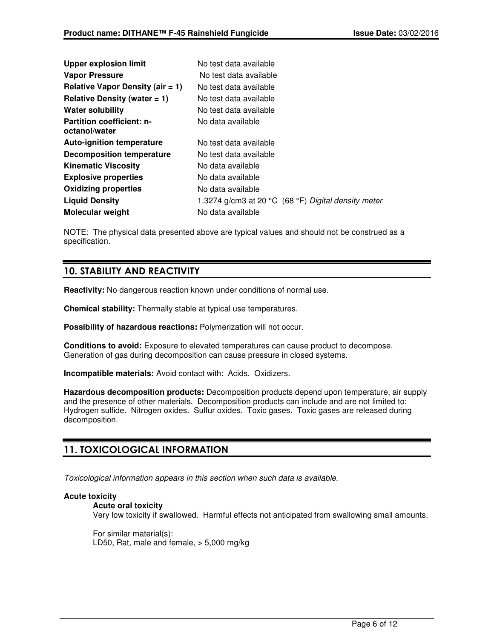| <b>Upper explosion limit</b>                      | No test data available                              |
|---------------------------------------------------|-----------------------------------------------------|
| <b>Vapor Pressure</b>                             | No test data available                              |
| Relative Vapor Density (air $= 1$ )               | No test data available                              |
| Relative Density (water $= 1$ )                   | No test data available                              |
| <b>Water solubility</b>                           | No test data available                              |
| <b>Partition coefficient: n-</b><br>octanol/water | No data available                                   |
| <b>Auto-ignition temperature</b>                  | No test data available                              |
| Decomposition temperature                         | No test data available                              |
| <b>Kinematic Viscosity</b>                        | No data available                                   |
| <b>Explosive properties</b>                       | No data available                                   |
| <b>Oxidizing properties</b>                       | No data available                                   |
| <b>Liquid Density</b>                             | 1.3274 g/cm3 at 20 °C (68 °F) Digital density meter |
| <b>Molecular weight</b>                           | No data available                                   |

NOTE: The physical data presented above are typical values and should not be construed as a specification.

# **10. STABILITY AND REACTIVITY**

**Reactivity:** No dangerous reaction known under conditions of normal use.

**Chemical stability:** Thermally stable at typical use temperatures.

**Possibility of hazardous reactions:** Polymerization will not occur.

**Conditions to avoid:** Exposure to elevated temperatures can cause product to decompose. Generation of gas during decomposition can cause pressure in closed systems.

**Incompatible materials:** Avoid contact with: Acids. Oxidizers.

**Hazardous decomposition products:** Decomposition products depend upon temperature, air supply and the presence of other materials. Decomposition products can include and are not limited to: Hydrogen sulfide. Nitrogen oxides. Sulfur oxides. Toxic gases. Toxic gases are released during decomposition.

# **11. TOXICOLOGICAL INFORMATION**

Toxicological information appears in this section when such data is available.

# **Acute toxicity**

#### **Acute oral toxicity**

Very low toxicity if swallowed. Harmful effects not anticipated from swallowing small amounts.

For similar material(s): LD50, Rat, male and female, > 5,000 mg/kg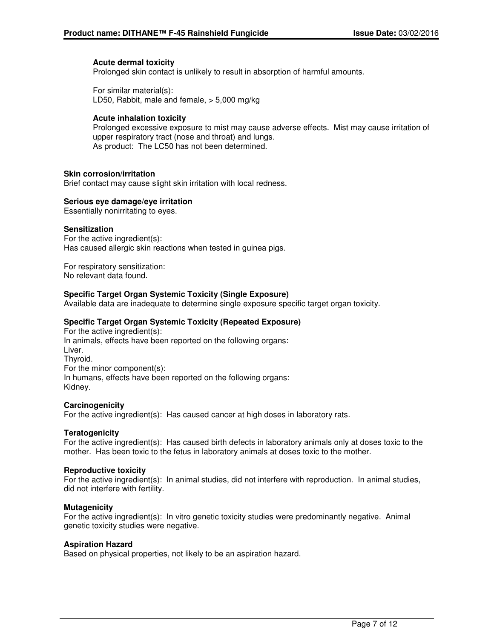#### **Acute dermal toxicity**

Prolonged skin contact is unlikely to result in absorption of harmful amounts.

For similar material(s): LD50, Rabbit, male and female, > 5,000 mg/kg

#### **Acute inhalation toxicity**

Prolonged excessive exposure to mist may cause adverse effects. Mist may cause irritation of upper respiratory tract (nose and throat) and lungs. As product: The LC50 has not been determined.

#### **Skin corrosion/irritation**

Brief contact may cause slight skin irritation with local redness.

#### **Serious eye damage/eye irritation**

Essentially nonirritating to eyes.

#### **Sensitization**

For the active ingredient(s): Has caused allergic skin reactions when tested in guinea pigs.

For respiratory sensitization: No relevant data found.

## **Specific Target Organ Systemic Toxicity (Single Exposure)**

Available data are inadequate to determine single exposure specific target organ toxicity.

## **Specific Target Organ Systemic Toxicity (Repeated Exposure)**

For the active ingredient(s): In animals, effects have been reported on the following organs: Liver. Thyroid. For the minor component(s): In humans, effects have been reported on the following organs: Kidney.

#### **Carcinogenicity**

For the active ingredient(s): Has caused cancer at high doses in laboratory rats.

#### **Teratogenicity**

For the active ingredient(s): Has caused birth defects in laboratory animals only at doses toxic to the mother. Has been toxic to the fetus in laboratory animals at doses toxic to the mother.

#### **Reproductive toxicity**

For the active ingredient(s): In animal studies, did not interfere with reproduction. In animal studies, did not interfere with fertility.

#### **Mutagenicity**

For the active ingredient(s): In vitro genetic toxicity studies were predominantly negative. Animal genetic toxicity studies were negative.

#### **Aspiration Hazard**

Based on physical properties, not likely to be an aspiration hazard.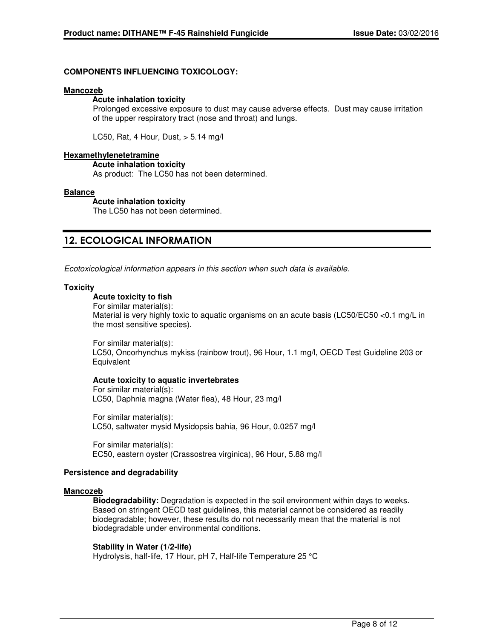## **COMPONENTS INFLUENCING TOXICOLOGY:**

#### **Mancozeb**

#### **Acute inhalation toxicity**

Prolonged excessive exposure to dust may cause adverse effects. Dust may cause irritation of the upper respiratory tract (nose and throat) and lungs.

LC50, Rat, 4 Hour, Dust, > 5.14 mg/l

#### **Hexamethylenetetramine**

**Acute inhalation toxicity**

As product: The LC50 has not been determined.

## **Balance**

**Acute inhalation toxicity**

The LC50 has not been determined.

# **12. ECOLOGICAL INFORMATION**

Ecotoxicological information appears in this section when such data is available.

# **Toxicity**

## **Acute toxicity to fish**

For similar material(s): Material is very highly toxic to aquatic organisms on an acute basis (LC50/EC50 <0.1 mg/L in the most sensitive species).

For similar material(s): LC50, Oncorhynchus mykiss (rainbow trout), 96 Hour, 1.1 mg/l, OECD Test Guideline 203 or **Equivalent** 

#### **Acute toxicity to aquatic invertebrates**

For similar material(s): LC50, Daphnia magna (Water flea), 48 Hour, 23 mg/l

For similar material(s): LC50, saltwater mysid Mysidopsis bahia, 96 Hour, 0.0257 mg/l

For similar material(s): EC50, eastern oyster (Crassostrea virginica), 96 Hour, 5.88 mg/l

#### **Persistence and degradability**

#### **Mancozeb**

**Biodegradability:** Degradation is expected in the soil environment within days to weeks. Based on stringent OECD test guidelines, this material cannot be considered as readily biodegradable; however, these results do not necessarily mean that the material is not biodegradable under environmental conditions.

# **Stability in Water (1/2-life)**

Hydrolysis, half-life, 17 Hour, pH 7, Half-life Temperature 25 °C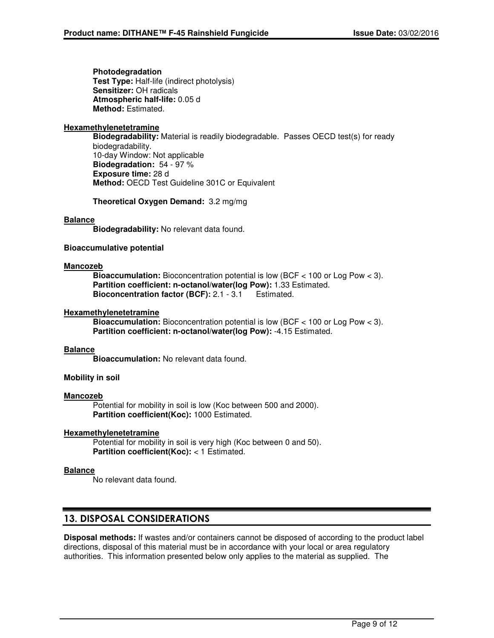**Photodegradation Test Type:** Half-life (indirect photolysis) **Sensitizer:** OH radicals **Atmospheric half-life:** 0.05 d **Method:** Estimated.

## **Hexamethylenetetramine**

**Biodegradability:** Material is readily biodegradable. Passes OECD test(s) for ready biodegradability. 10-day Window: Not applicable **Biodegradation:** 54 - 97 % **Exposure time:** 28 d **Method:** OECD Test Guideline 301C or Equivalent

**Theoretical Oxygen Demand:** 3.2 mg/mg

## **Balance**

**Biodegradability:** No relevant data found.

## **Bioaccumulative potential**

## **Mancozeb**

**Bioaccumulation:** Bioconcentration potential is low (BCF < 100 or Log Pow < 3). **Partition coefficient: n-octanol/water(log Pow):** 1.33 Estimated. **Bioconcentration factor (BCF):** 2.1 - 3.1 Estimated.

## **Hexamethylenetetramine**

**Bioaccumulation:** Bioconcentration potential is low (BCF < 100 or Log Pow < 3). **Partition coefficient: n-octanol/water(log Pow):** -4.15 Estimated.

#### **Balance**

**Bioaccumulation:** No relevant data found.

# **Mobility in soil**

#### **Mancozeb**

Potential for mobility in soil is low (Koc between 500 and 2000). **Partition coefficient(Koc):** 1000 Estimated.

#### **Hexamethylenetetramine**

Potential for mobility in soil is very high (Koc between 0 and 50). **Partition coefficient(Koc):** < 1 Estimated.

#### **Balance**

No relevant data found.

# **13. DISPOSAL CONSIDERATIONS**

**Disposal methods:** If wastes and/or containers cannot be disposed of according to the product label directions, disposal of this material must be in accordance with your local or area regulatory authorities. This information presented below only applies to the material as supplied. The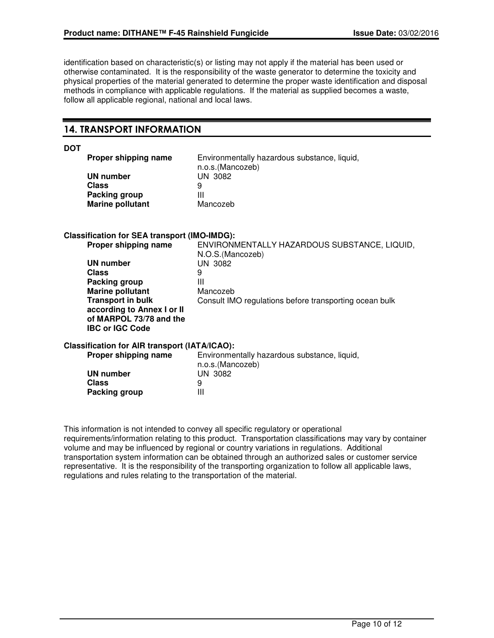identification based on characteristic(s) or listing may not apply if the material has been used or otherwise contaminated. It is the responsibility of the waste generator to determine the toxicity and physical properties of the material generated to determine the proper waste identification and disposal methods in compliance with applicable regulations. If the material as supplied becomes a waste, follow all applicable regional, national and local laws.

# **14. TRANSPORT INFORMATION**

**DOT**

| Proper shipping name    | Environmentally hazardous substance, liquid,<br>n.o.s.(Mancozeb) |
|-------------------------|------------------------------------------------------------------|
| UN number               | UN 3082                                                          |
| Class                   | 9                                                                |
| Packing group           | Ш                                                                |
| <b>Marine pollutant</b> | Mancozeb                                                         |
|                         |                                                                  |

## **Classification for SEA transport (IMO-IMDG):**

| Proper shipping name                                                                                        | ENVIRONMENTALLY HAZARDOUS SUBSTANCE, LIQUID,<br>N.O.S. (Mancozeb) |
|-------------------------------------------------------------------------------------------------------------|-------------------------------------------------------------------|
| UN number                                                                                                   | <b>UN 3082</b>                                                    |
| <b>Class</b>                                                                                                | 9                                                                 |
| Packing group                                                                                               | Ш                                                                 |
| <b>Marine pollutant</b>                                                                                     | Mancozeb                                                          |
| <b>Transport in bulk</b><br>according to Annex I or II<br>of MARPOL 73/78 and the<br><b>IBC or IGC Code</b> | Consult IMO regulations before transporting ocean bulk            |

# **Classification for AIR transport (IATA/ICAO):**

| Proper shipping name | Environmentally hazardous substance, liquid, |  |
|----------------------|----------------------------------------------|--|
|                      | n.o.s.(Mancozeb)                             |  |
| UN number            | UN 3082                                      |  |
| Class                | 9                                            |  |
| Packing group        | ш                                            |  |

This information is not intended to convey all specific regulatory or operational requirements/information relating to this product. Transportation classifications may vary by container volume and may be influenced by regional or country variations in regulations. Additional transportation system information can be obtained through an authorized sales or customer service representative. It is the responsibility of the transporting organization to follow all applicable laws, regulations and rules relating to the transportation of the material.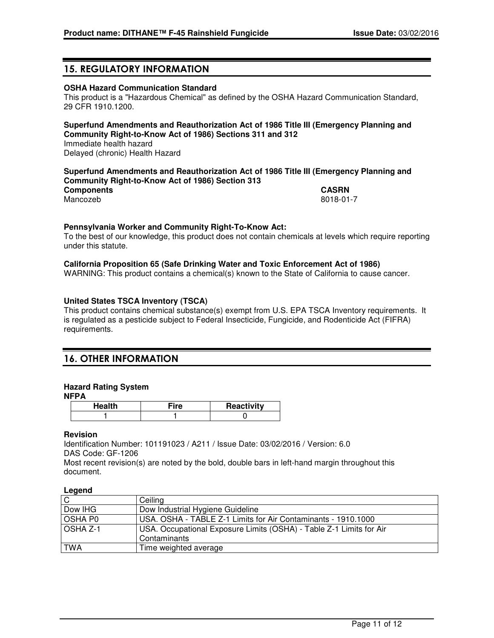# **15. REGULATORY INFORMATION**

# **OSHA Hazard Communication Standard**

This product is a "Hazardous Chemical" as defined by the OSHA Hazard Communication Standard, 29 CFR 1910.1200.

# **Superfund Amendments and Reauthorization Act of 1986 Title III (Emergency Planning and Community Right-to-Know Act of 1986) Sections 311 and 312**

Immediate health hazard Delayed (chronic) Health Hazard

## **Superfund Amendments and Reauthorization Act of 1986 Title III (Emergency Planning and Community Right-to-Know Act of 1986) Section 313**

**Components CASRN**

Mancozeb 8018-01-7

## **Pennsylvania Worker and Community Right-To-Know Act:**

To the best of our knowledge, this product does not contain chemicals at levels which require reporting under this statute.

## **California Proposition 65 (Safe Drinking Water and Toxic Enforcement Act of 1986)**

WARNING: This product contains a chemical(s) known to the State of California to cause cancer.

# **United States TSCA Inventory (TSCA)**

This product contains chemical substance(s) exempt from U.S. EPA TSCA Inventory requirements. It is regulated as a pesticide subject to Federal Insecticide, Fungicide, and Rodenticide Act (FIFRA) requirements.

# **16. OTHER INFORMATION**

# **Hazard Rating System**

#### **NFPA**

| Health | <b>Reactivity</b> |
|--------|-------------------|
|        |                   |

# **Revision**

Identification Number: 101191023 / A211 / Issue Date: 03/02/2016 / Version: 6.0 DAS Code: GF-1206 Most recent revision(s) are noted by the bold, double bars in left-hand margin throughout this document.

#### **Legend**

| $-9 -$          |                                                                     |
|-----------------|---------------------------------------------------------------------|
| $\overline{C}$  | Ceiling                                                             |
| Dow IHG         | Dow Industrial Hygiene Guideline                                    |
| <b>OSHAPO</b>   | USA. OSHA - TABLE Z-1 Limits for Air Contaminants - 1910.1000       |
| <b>OSHA Z-1</b> | USA. Occupational Exposure Limits (OSHA) - Table Z-1 Limits for Air |
|                 | Contaminants                                                        |
| <b>TWA</b>      | Time weighted average                                               |